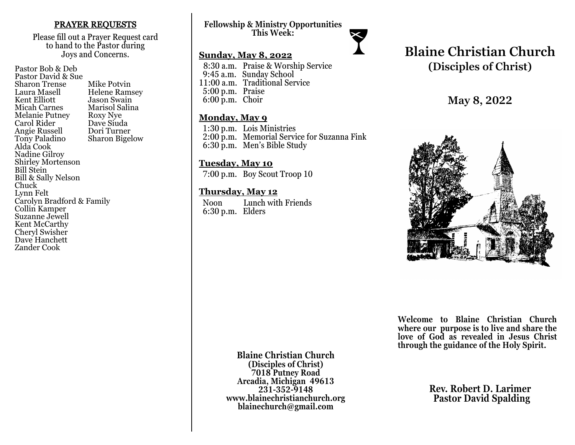### PRAYER REQUESTS

Please fill out a Prayer Request card to hand to the Pastor during Joys and Concerns.

Pastor Bob & Deb Pastor David & Sue Sharon Trense Mike Potvin<br>Laura Masell Helene Ram Laura Masell Helene Ramsey<br>Kent Elliott Jason Swain Kent Elliott Jason Swain<br>
Micah Carnes Marisol Salin Marisol Salina<br>Roxy Nye Melanie Putney Roxy Nye<br>Carol Rider Dave Siuda Carol Rider Dave Siuda<br>
Angie Russell Dori Turner Angie Russell<br>Tony Paladino **Sharon Bigelow** Alda Cook Nadine Gilroy Shirley Mortenson Bill Stein Bill & Sally Nelson Chuck Lynn Felt Carolyn Bradford & Family Collin Kamper Suzanne Jewell Kent McCarthy Cheryl Swisher Dave Hanchett Zander Cook

## **Fellowship & Ministry Opportunities This Week:**

## **Sunday, May 8, 2022**

 8:30 a.m. Praise & Worship Service 9:45 a.m. Sunday School 11:00 a.m. Traditional Service 5:00 p.m. Praise 6:00 p.m. Choir

### **Monday, May 9**

 1:30 p.m. Lois Ministries 2:00 p.m. Memorial Service for Suzanna Fink 6:30 p.m. Men's Bible Study

### **Tuesday, May 10**

7:00 p.m. Boy Scout Troop 10

### **Thursday, May 12**

 Noon Lunch with Friends 6:30 p.m. Elders

# **Blaine Christian Church (Disciples of Christ)**

**May 8, 2022**



**Welcome to Blaine Christian Church where our purpose is to live and share the love of God as revealed in Jesus Christ through the guidance of the Holy Spirit.**

**Blaine Christian Church (Disciples of Christ) 7018 Putney Road Arcadia, Michigan 49613 231-352-9148 www.blainechristianchurch.org blainechurch@gmail.com**

**Rev. Robert D. Larimer Pastor David Spalding**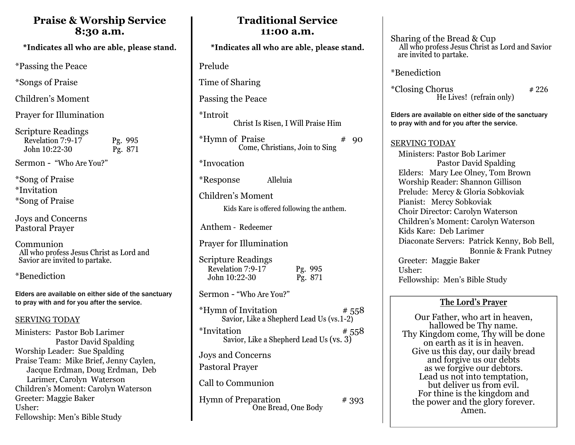# **Praise & Worship Service 8:30 a.m.**

\*Indicates all who are able, please stand.

\*Passing the Peace

\*Songs of Praise

Children's Moment

Prayer for Illumination

Scripture Readings Revelation 7:9-17 Pg. 995<br>John 10:22-30 Pg. 871  $John 10:22-30$ 

Sermon - "Who Are You?"

\*Song of Praise \*Invitation \*Song of Praise

Joys and Concerns Pastoral Prayer

Communion All who profess Jesus Christ as Lord and Savior are invited to partake.

\*Benediction

Elders are available on either side of the sanctuary to pray with and for you after the service.

### SERVING TODAY

Ministers: Pastor Bob Larimer Pastor David Spalding Worship Leader: Sue Spalding Praise Team: Mike Brief, Jenny Caylen, Jacque Erdman, Doug Erdman, Deb Larimer, Carolyn Waterson Children's Moment: Carolyn Waterson Greeter: Maggie Baker Usher: Fellowship: Men's Bible Study

# **Traditional Service 11:00 a.m.**  \*Indicates all who are able, please stand. Prelude Time of Sharing Passing the Peace \*Introit Christ Is Risen, I Will Praise Him  $***H**$ ymn of Praise  $***90**$ Come, Christians, Join to Sing \*Invocation \*Response Alleluia Children's Moment Anthem - Redeemer Prayer for Illumination Scripture Readings Revelation 7:9-17 Pg. 995 John 10:22-30 Pg. 871 Sermon - "Who Are You?" \*Hymn of Invitation  $# 558$ Savior, Like a Shepherd Lead Us (vs.1-2)  $*$ Invitation  $*$  558 Savior, Like a Shepherd Lead Us (vs. 3) Joys and Concerns Pastoral Prayer Call to Communion Hymn of Preparation # 393 One Bread, One Body Kids Kare is offered following the anthem.

Sharing of the Bread & Cup All who profess Jesus Christ as Lord and Savior are invited to partake.

\*Benediction

 $*Closing Chorus$   $*226$ He Lives! (refrain only)

Elders are available on either side of the sanctuary to pray with and for you after the service.

## SERVING TODAY

 Ministers: Pastor Bob Larimer Pastor David Spalding Elders: Mary Lee Olney, Tom Brown Worship Reader: Shannon Gillison Prelude: Mercy & Gloria Sobkoviak Pianist: Mercy Sobkoviak Choir Director: Carolyn Waterson Children's Moment: Carolyn Waterson Kids Kare: Deb Larimer Diaconate Servers: Patrick Kenny, Bob Bell, Bonnie & Frank Putney Greeter: Maggie Baker Usher: Fellowship: Men's Bible Study

# **The Lord's Prayer**

Our Father, who art in heaven, hallowed be Thy name. Thy Kingdom come, Thy will be done on earth as it is in heaven. Give us this day, our daily bread and forgive us our debts as we forgive our debtors. Lead us not into temptation, but deliver us from evil. For thine is the kingdom and the power and the glory forever. Amen.